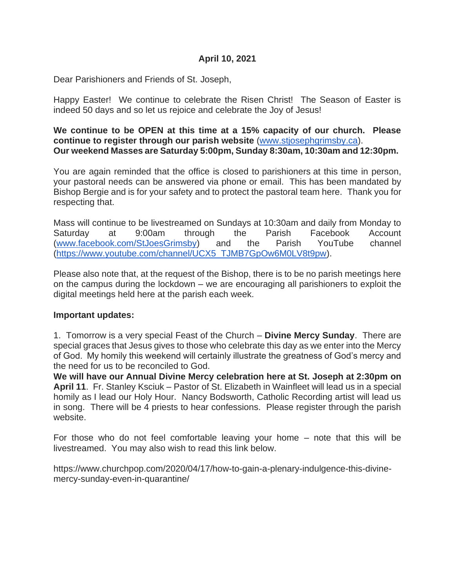### **April 10, 2021**

Dear Parishioners and Friends of St. Joseph,

Happy Easter! We continue to celebrate the Risen Christ! The Season of Easter is indeed 50 days and so let us rejoice and celebrate the Joy of Jesus!

**We continue to be OPEN at this time at a 15% capacity of our church. Please continue to register through our parish website** [\(www.stjosephgrimsby.ca\)](http://www.stjosephgrimsby.ca/). **Our weekend Masses are Saturday 5:00pm, Sunday 8:30am, 10:30am and 12:30pm.**

You are again reminded that the office is closed to parishioners at this time in person, your pastoral needs can be answered via phone or email. This has been mandated by Bishop Bergie and is for your safety and to protect the pastoral team here. Thank you for respecting that.

Mass will continue to be livestreamed on Sundays at 10:30am and daily from Monday to Saturday at 9:00am through the Parish Facebook Account [\(www.facebook.com/StJoesGrimsby\)](http://www.facebook.com/StJoesGrimsby) and the Parish YouTube channel [\(https://www.youtube.com/channel/UCX5\\_TJMB7GpOw6M0LV8t9pw\)](https://www.youtube.com/channel/UCX5_TJMB7GpOw6M0LV8t9pw).

Please also note that, at the request of the Bishop, there is to be no parish meetings here on the campus during the lockdown – we are encouraging all parishioners to exploit the digital meetings held here at the parish each week.

#### **Important updates:**

1. Tomorrow is a very special Feast of the Church – **Divine Mercy Sunday**. There are special graces that Jesus gives to those who celebrate this day as we enter into the Mercy of God. My homily this weekend will certainly illustrate the greatness of God's mercy and the need for us to be reconciled to God.

**We will have our Annual Divine Mercy celebration here at St. Joseph at 2:30pm on April 11**. Fr. Stanley Ksciuk – Pastor of St. Elizabeth in Wainfleet will lead us in a special homily as I lead our Holy Hour. Nancy Bodsworth, Catholic Recording artist will lead us in song. There will be 4 priests to hear confessions. Please register through the parish website.

For those who do not feel comfortable leaving your home – note that this will be livestreamed. You may also wish to read this link below.

https://www.churchpop.com/2020/04/17/how-to-gain-a-plenary-indulgence-this-divinemercy-sunday-even-in-quarantine/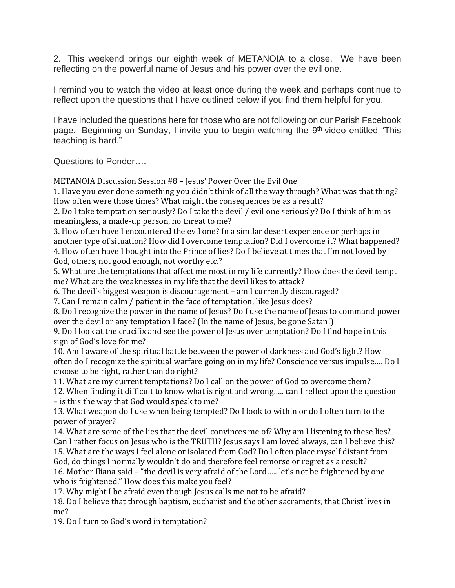2. This weekend brings our eighth week of METANOIA to a close. We have been reflecting on the powerful name of Jesus and his power over the evil one.

I remind you to watch the video at least once during the week and perhaps continue to reflect upon the questions that I have outlined below if you find them helpful for you.

I have included the questions here for those who are not following on our Parish Facebook page. Beginning on Sunday, I invite you to begin watching the 9<sup>th</sup> video entitled "This teaching is hard."

Questions to Ponder….

METANOIA Discussion Session #8 – Jesus' Power Over the Evil One

1. Have you ever done something you didn't think of all the way through? What was that thing? How often were those times? What might the consequences be as a result?

2. Do I take temptation seriously? Do I take the devil / evil one seriously? Do I think of him as meaningless, a made-up person, no threat to me?

3. How often have I encountered the evil one? In a similar desert experience or perhaps in another type of situation? How did I overcome temptation? Did I overcome it? What happened? 4. How often have I bought into the Prince of lies? Do I believe at times that I'm not loved by

God, others, not good enough, not worthy etc.?

5. What are the temptations that affect me most in my life currently? How does the devil tempt me? What are the weaknesses in my life that the devil likes to attack?

6. The devil's biggest weapon is discouragement – am I currently discouraged?

7. Can I remain calm / patient in the face of temptation, like Jesus does?

8. Do I recognize the power in the name of Jesus? Do I use the name of Jesus to command power over the devil or any temptation I face? (In the name of Jesus, be gone Satan!)

9. Do I look at the crucifix and see the power of Jesus over temptation? Do I find hope in this sign of God's love for me?

10. Am I aware of the spiritual battle between the power of darkness and God's light? How often do I recognize the spiritual warfare going on in my life? Conscience versus impulse…. Do I choose to be right, rather than do right?

11. What are my current temptations? Do I call on the power of God to overcome them?

12. When finding it difficult to know what is right and wrong….. can I reflect upon the question – is this the way that God would speak to me?

13. What weapon do I use when being tempted? Do I look to within or do I often turn to the power of prayer?

14. What are some of the lies that the devil convinces me of? Why am I listening to these lies? Can I rather focus on Jesus who is the TRUTH? Jesus says I am loved always, can I believe this? 15. What are the ways I feel alone or isolated from God? Do I often place myself distant from

God, do things I normally wouldn't do and therefore feel remorse or regret as a result? 16. Mother Iliana said – "the devil is very afraid of the Lord….. let's not be frightened by one who is frightened." How does this make you feel?

17. Why might I be afraid even though Jesus calls me not to be afraid?

18. Do I believe that through baptism, eucharist and the other sacraments, that Christ lives in me?

19. Do I turn to God's word in temptation?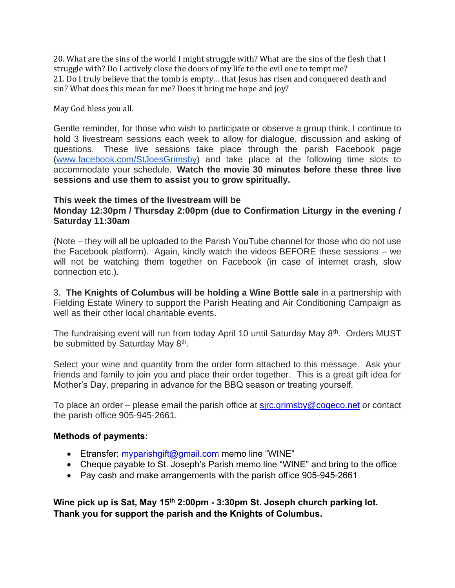20. What are the sins of the world I might struggle with? What are the sins of the flesh that I struggle with? Do I actively close the doors of my life to the evil one to tempt me? 21. Do I truly believe that the tomb is empty… that Jesus has risen and conquered death and sin? What does this mean for me? Does it bring me hope and joy?

May God bless you all.

Gentle reminder, for those who wish to participate or observe a group think, I continue to hold 3 livestream sessions each week to allow for dialogue, discussion and asking of questions. These live sessions take place through the parish Facebook page [\(www.facebook.com/StJoesGrimsby\)](http://www.facebook.com/StJoesGrimsby) and take place at the following time slots to accommodate your schedule. **Watch the movie 30 minutes before these three live sessions and use them to assist you to grow spiritually.**

#### **This week the times of the livestream will be Monday 12:30pm / Thursday 2:00pm (due to Confirmation Liturgy in the evening / Saturday 11:30am**

(Note – they will all be uploaded to the Parish YouTube channel for those who do not use the Facebook platform). Again, kindly watch the videos BEFORE these sessions – we will not be watching them together on Facebook (in case of internet crash, slow connection etc.).

3. **The Knights of Columbus will be holding a Wine Bottle sale** in a partnership with Fielding Estate Winery to support the Parish Heating and Air Conditioning Campaign as well as their other local charitable events.

The fundraising event will run from today April 10 until Saturday May 8<sup>th</sup>. Orders MUST be submitted by Saturday May 8<sup>th</sup>.

Select your wine and quantity from the order form attached to this message. Ask your friends and family to join you and place their order together. This is a great gift idea for Mother's Day, preparing in advance for the BBQ season or treating yourself.

To place an order – please email the parish office at  $sirc.qrimsby@coqeco.net$  or contact the parish office 905-945-2661.

#### **Methods of payments:**

- Etransfer: [myparishgift@gmail.com](mailto:myparishgift@gmail.com) memo line "WINE"
- Cheque payable to St. Joseph's Parish memo line "WINE" and bring to the office
- Pay cash and make arrangements with the parish office 905-945-2661

**Wine pick up is Sat, May 15th 2:00pm - 3:30pm St. Joseph church parking lot. Thank you for support the parish and the Knights of Columbus.**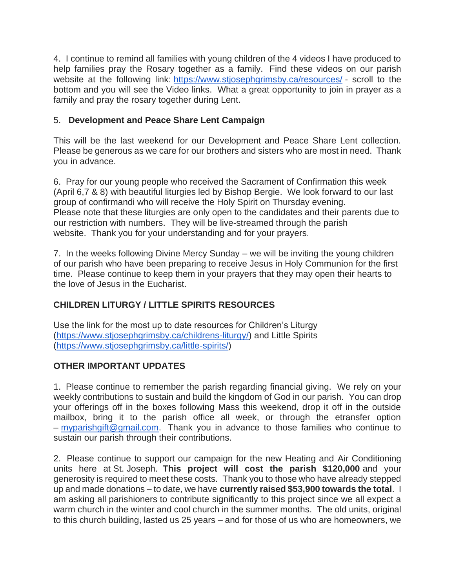4. I continue to remind all families with young children of the 4 videos I have produced to help families pray the Rosary together as a family. Find these videos on our parish website at the following link: <https://www.stjosephgrimsby.ca/resources/> - scroll to the bottom and you will see the Video links. What a great opportunity to join in prayer as a family and pray the rosary together during Lent.

## 5. **Development and Peace Share Lent Campaign**

This will be the last weekend for our Development and Peace Share Lent collection. Please be generous as we care for our brothers and sisters who are most in need. Thank you in advance.

6. Pray for our young people who received the Sacrament of Confirmation this week (April 6,7 & 8) with beautiful liturgies led by Bishop Bergie. We look forward to our last group of confirmandi who will receive the Holy Spirit on Thursday evening. Please note that these liturgies are only open to the candidates and their parents due to our restriction with numbers. They will be live-streamed through the parish website. Thank you for your understanding and for your prayers.

7. In the weeks following Divine Mercy Sunday – we will be inviting the young children of our parish who have been preparing to receive Jesus in Holy Communion for the first time. Please continue to keep them in your prayers that they may open their hearts to the love of Jesus in the Eucharist.

# **CHILDREN LITURGY / LITTLE SPIRITS RESOURCES**

Use the link for the most up to date resources for Children's Liturgy [\(https://www.stjosephgrimsby.ca/childrens-liturgy/\)](https://www.stjosephgrimsby.ca/childrens-liturgy/) and Little Spirits [\(https://www.stjosephgrimsby.ca/little-spirits/\)](https://www.stjosephgrimsby.ca/little-spirits/)

## **OTHER IMPORTANT UPDATES**

1. Please continue to remember the parish regarding financial giving. We rely on your weekly contributions to sustain and build the kingdom of God in our parish. You can drop your offerings off in the boxes following Mass this weekend, drop it off in the outside mailbox, bring it to the parish office all week, or through the etransfer option – [myparishgift@gmail.com.](mailto:myparishgift@gmail.com) Thank you in advance to those families who continue to sustain our parish through their contributions.

2. Please continue to support our campaign for the new Heating and Air Conditioning units here at St. Joseph. **This project will cost the parish \$120,000** and your generosity is required to meet these costs. Thank you to those who have already stepped up and made donations – to date, we have **currently raised \$53,900 towards the total**. I am asking all parishioners to contribute significantly to this project since we all expect a warm church in the winter and cool church in the summer months. The old units, original to this church building, lasted us 25 years – and for those of us who are homeowners, we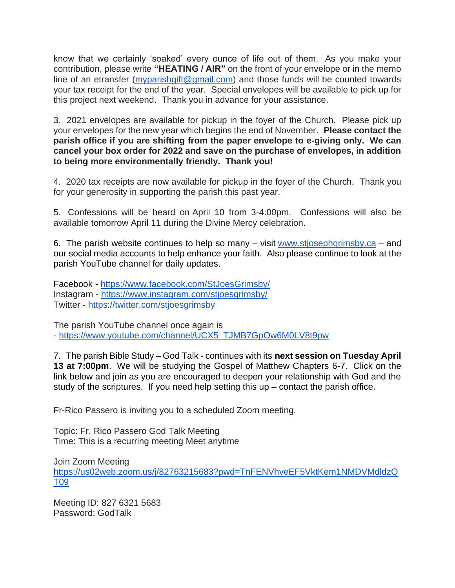know that we certainly 'soaked' every ounce of life out of them. As you make your contribution, please write **"HEATING / AIR"** on the front of your envelope or in the memo line of an etransfer [\(myparishgift@gmail.com\)](mailto:myparishgift@gmail.com) and those funds will be counted towards your tax receipt for the end of the year. Special envelopes will be available to pick up for this project next weekend. Thank you in advance for your assistance.

3. 2021 envelopes are available for pickup in the foyer of the Church. Please pick up your envelopes for the new year which begins the end of November. **Please contact the parish office if you are shifting from the paper envelope to e-giving only. We can cancel your box order for 2022 and save on the purchase of envelopes, in addition to being more environmentally friendly. Thank you!**

4. 2020 tax receipts are now available for pickup in the foyer of the Church. Thank you for your generosity in supporting the parish this past year.

5. Confessions will be heard on April 10 from 3-4:00pm. Confessions will also be available tomorrow April 11 during the Divine Mercy celebration.

6. The parish website continues to help so many – visit [www.stjosephgrimsby.ca](http://www.stjosephgrimsby.ca/) – and our social media accounts to help enhance your faith. Also please continue to look at the parish YouTube channel for daily updates.

Facebook - <https://www.facebook.com/StJoesGrimsby/> Instagram - <https://www.instagram.com/stjoesgrimsby/> Twitter - <https://twitter.com/stjoesgrimsby>

The parish YouTube channel once again is - [https://www.youtube.com/channel/UCX5\\_TJMB7GpOw6M0LV8t9pw](https://www.youtube.com/channel/UCX5_TJMB7GpOw6M0LV8t9pw)

7. The parish Bible Study – God Talk - continues with its **next session on Tuesday April 13 at 7:00pm**. We will be studying the Gospel of Matthew Chapters 6-7. Click on the link below and join as you are encouraged to deepen your relationship with God and the study of the scriptures. If you need help setting this up – contact the parish office.

Fr-Rico Passero is inviting you to a scheduled Zoom meeting.

Topic: Fr. Rico Passero God Talk Meeting Time: This is a recurring meeting Meet anytime

Join Zoom Meeting [https://us02web.zoom.us/j/82763215683?pwd=TnFENVhveEF5VktKem1NMDVMdldzQ](https://us02web.zoom.us/j/82763215683?pwd=TnFENVhveEF5VktKem1NMDVMdldzQT09) [T09](https://us02web.zoom.us/j/82763215683?pwd=TnFENVhveEF5VktKem1NMDVMdldzQT09)

Meeting ID: 827 6321 5683 Password: GodTalk